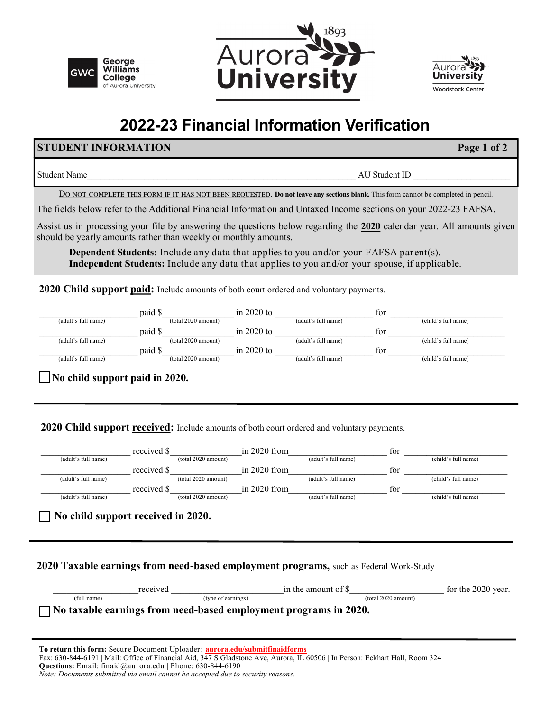





# **2022-23 Financial Information Verification**

## **STUDENT INFORMATION Page 1 of 2**

Student Name and AU Student ID and AU Student ID  $\overline{A}$  AU Student ID  $\overline{A}$ 

Do not complete this form if it has not been requested. **Do not leave any sections blank.** This form cannot be completed in pencil.

The fields below refer to the Additional Financial Information and Untaxed Income sections on your 2022-23 FAFSA.

Assist us in processing your file by answering the questions below regarding the **2020** calendar year. All amounts given should be yearly amounts rather than weekly or monthly amounts.

**Dependent Students:** Include any data that applies to you and/or your FAFSA parent(s). **Independent Students:** Include any data that applies to you and/or your spouse, if applicable.

**2020 Child support paid:** Include amounts of both court ordered and voluntary payments.

| paid \$<br>(adult's full name) | in $2020$ to<br>$(total 2020$ amount) | for<br>(adult's full name) | (child's full name) |
|--------------------------------|---------------------------------------|----------------------------|---------------------|
| paid \$                        | in $2020$ to                          | tor                        |                     |
| (adult's full name)            | (total 2020 amount)                   | (adult's full name)        | (child's full name) |
| paid \$                        | in $2020$ to                          | tor                        |                     |
| (adult's full name)            | $(total 2020$ amount)                 | (adult's full name)        | (child's full name) |

 **No child support paid in 2020.** 

2020 Child support received: Include amounts of both court ordered and voluntary payments.

|                                                                                              | received \$ |                       | in $2020$ from |                                                                  | for                 |                     |
|----------------------------------------------------------------------------------------------|-------------|-----------------------|----------------|------------------------------------------------------------------|---------------------|---------------------|
| (adult's full name)                                                                          |             | $(total 2020$ amount) |                | (adult's full name)                                              |                     | (child's full name) |
|                                                                                              | received \$ |                       | in $2020$ from |                                                                  | for                 |                     |
| (adult's full name)                                                                          |             | (total 2020 amount)   |                | (adult's full name)                                              |                     | (child's full name) |
|                                                                                              | received \$ |                       | in $2020$ from |                                                                  | for                 |                     |
| (adult's full name)                                                                          |             | (total 2020 amount)   |                | (adult's full name)                                              |                     | (child's full name) |
| No child support received in 2020.                                                           |             |                       |                |                                                                  |                     |                     |
| <b>2020 Taxable earnings from need-based employment programs, such as Federal Work-Study</b> | received    |                       |                | in the amount of \$                                              |                     | for the 2020 year.  |
| (full name)                                                                                  |             | (type of earnings)    |                |                                                                  | (total 2020 amount) |                     |
|                                                                                              |             |                       |                |                                                                  |                     |                     |
|                                                                                              |             |                       |                | No taxable earnings from need-based employment programs in 2020. |                     |                     |

*Note: Documents submitted via email cannot be accepted due to security reasons.*